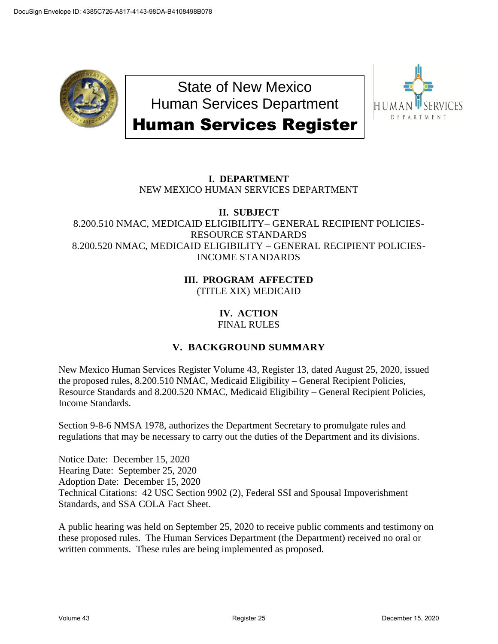

State of New Mexico Human Services Department Human Services Register



# **I. DEPARTMENT** NEW MEXICO HUMAN SERVICES DEPARTMENT

#### **II. SUBJECT** 8.200.510 NMAC, MEDICAID ELIGIBILITY– GENERAL RECIPIENT POLICIES-RESOURCE STANDARDS 8.200.520 NMAC, MEDICAID ELIGIBILITY – GENERAL RECIPIENT POLICIES-INCOME STANDARDS

## **III. PROGRAM AFFECTED** (TITLE XIX) MEDICAID

# **IV. ACTION**

FINAL RULES

# **V. BACKGROUND SUMMARY**

New Mexico Human Services Register Volume 43, Register 13, dated August 25, 2020, issued the proposed rules, 8.200.510 NMAC, Medicaid Eligibility – General Recipient Policies, Resource Standards and 8.200.520 NMAC, Medicaid Eligibility – General Recipient Policies, Income Standards.

Section 9-8-6 NMSA 1978, authorizes the Department Secretary to promulgate rules and regulations that may be necessary to carry out the duties of the Department and its divisions.

Notice Date: December 15, 2020 Hearing Date: September 25, 2020 Adoption Date: December 15, 2020 Technical Citations: 42 USC Section 9902 (2), Federal SSI and Spousal Impoverishment Standards, and SSA COLA Fact Sheet.

A public hearing was held on September 25, 2020 to receive public comments and testimony on these proposed rules. The Human Services Department (the Department) received no oral or written comments. These rules are being implemented as proposed.